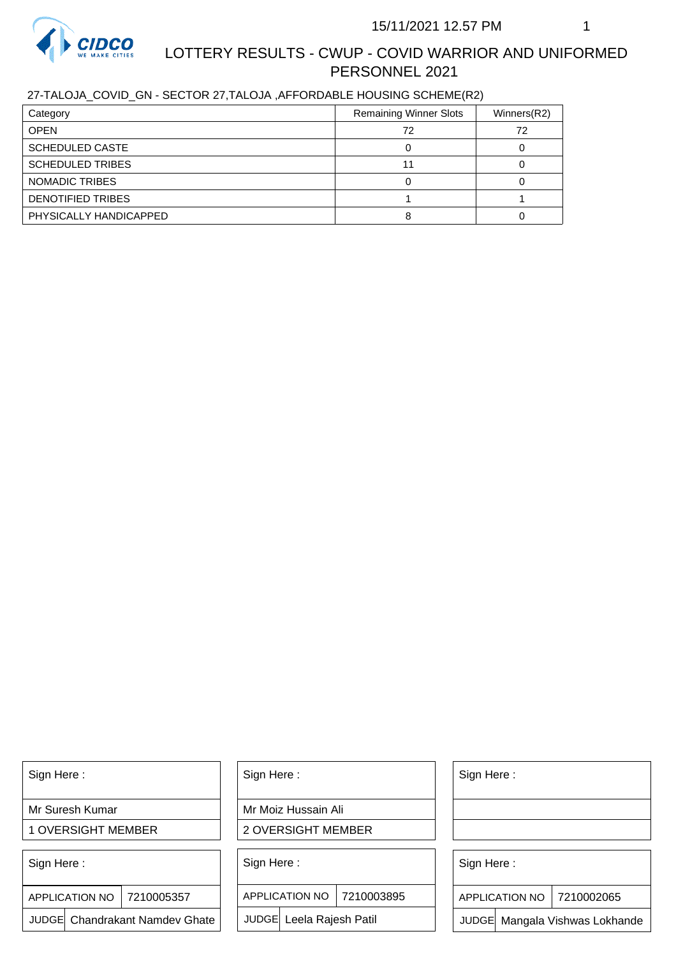

# LOTTERY RESULTS - CWUP - COVID WARRIOR AND UNIFORMED PERSONNEL 2021

### 27-TALOJA\_COVID\_GN - SECTOR 27,TALOJA ,AFFORDABLE HOUSING SCHEME(R2)

| Category                | <b>Remaining Winner Slots</b> | Winners $(R2)$ |
|-------------------------|-------------------------------|----------------|
| <b>OPEN</b>             | 72                            | 72             |
| <b>SCHEDULED CASTE</b>  |                               |                |
| <b>SCHEDULED TRIBES</b> |                               |                |
| NOMADIC TRIBES          |                               |                |
| DENOTIFIED TRIBES       |                               |                |
| PHYSICALLY HANDICAPPED  |                               |                |

Sign Here :

Mr Suresh Kumar

1 OVERSIGHT MEMBER

Sign Here :

APPLICATION NO | 7210005357

JUDGE Chandrakant Namdev Ghate

Sign Here :

Mr Moiz Hussain Ali

2 OVERSIGHT MEMBER

Sign Here :

APPLICATION NO 7210003895

JUDGE Leela Rajesh Patil

Sign Here :

Sign Here :

APPLICATION NO | 7210002065

Chandrakant Namdev Ghate  $|\quad|$  JUDGE Leela Rajesh Patil  $|\quad|$  JUDGE Mangala Vishwas Lokhande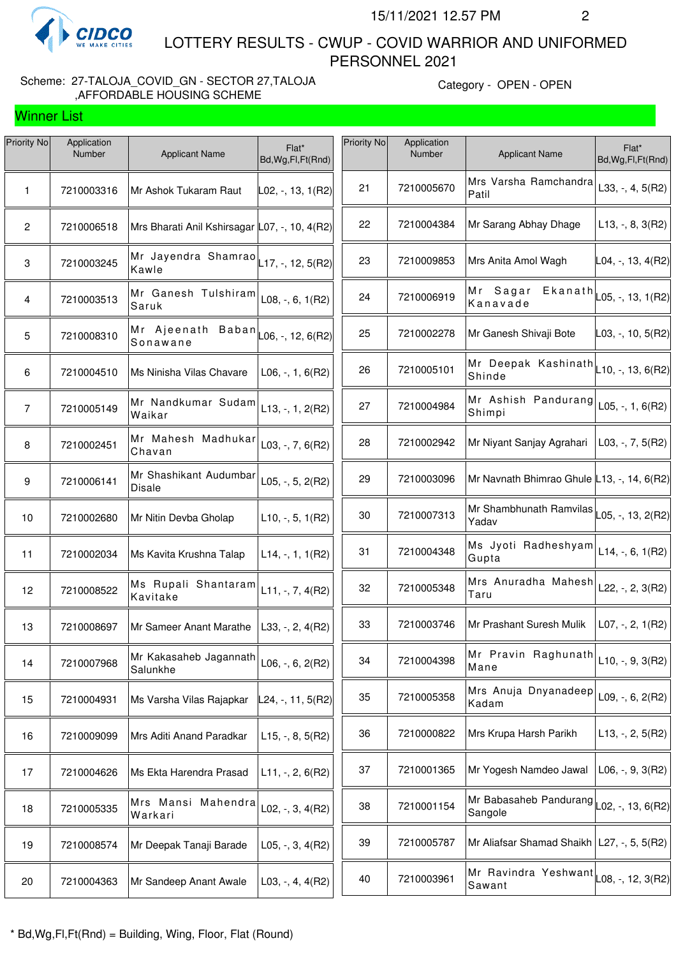

Winner List

 LOTTERY RESULTS - CWUP - COVID WARRIOR AND UNIFORMED PERSONNEL 2021

#### Scheme: 27-TALOJA\_COVID\_GN - SECTOR 27,TALOJA ,AFFORDABLE HOUSING SCHEME

Category - OPEN - OPEN

| Priority No     | Application<br>Number | <b>Applicant Name</b>                                   | Flat*<br>Bd, Wg, Fl, Ft (Rnd) | Priority No | Application<br>Number | <b>Applicant Name</b>                                             | Flat*<br>Bd, Wg, Fl, Ft (Rnd)   |
|-----------------|-----------------------|---------------------------------------------------------|-------------------------------|-------------|-----------------------|-------------------------------------------------------------------|---------------------------------|
| 1               | 7210003316            | Mr Ashok Tukaram Raut                                   | L02, -, 13, 1(R2)             | 21          | 7210005670            | Mrs Varsha Ramchandra<br>Patil                                    | L33, $-$ , 4, 5(R2)             |
| $\mathbf{2}$    | 7210006518            | Mrs Bharati Anil Kshirsagar L07, -, 10, 4(R2)           |                               | 22          | 7210004384            | Mr Sarang Abhay Dhage                                             | $L13, -, 8, 3(R2)$              |
| $\mathbf 3$     | 7210003245            | Mr Jayendra Shamrao $\vert$ L17, -, 12, 5(R2)<br>Kawle  |                               | 23          | 7210009853            | Mrs Anita Amol Wagh                                               | L04, -, 13, 4(R2)               |
| 4               | 7210003513            | Mr Ganesh Tulshiram<br>Saruk                            | $L08, -, 6, 1(R2)$            | 24          | 7210006919            | Mr Sagar<br>Kanavade                                              | $E$ kanath $L$ 05, -, 13, 1(R2) |
| $5\phantom{.0}$ | 7210008310            | Mr Ajeenath Baban $\vert$ L06, -, 12, 6(R2)<br>Sonawane |                               | 25          | 7210002278            | Mr Ganesh Shivaji Bote                                            | $\vert$ L03, -, 10, 5(R2)       |
| 6               | 7210004510            | Ms Ninisha Vilas Chavare                                | $L06, -1, 6(R2)$              | 26          | 7210005101            | Mr Deepak Kashinath $L$ 10, -, 13, 6(R2)<br>Shinde                |                                 |
| $\overline{7}$  | 7210005149            | Mr Nandkumar Sudam<br>Waikar                            | $L13, -1, 2(R2)$              | 27          | 7210004984            | Mr Ashish Pandurang<br>Shimpi                                     | L05, $-$ , 1, 6(R2)             |
| 8               | 7210002451            | Mr Mahesh Madhukar<br>Chavan                            | L03, $-$ , 7, 6(R2)           | 28          | 7210002942            | Mr Niyant Sanjay Agrahari                                         | $L03, -7, 5(R2)$                |
| 9               | 7210006141            | Mr Shashikant Audumbar<br><b>Disale</b>                 | $L05, -, 5, 2(R2)$            | 29          | 7210003096            | Mr Navnath Bhimrao Ghule L13, -, 14, 6(R2)                        |                                 |
| 10              | 7210002680            | Mr Nitin Devba Gholap                                   | $L10, -5, 1(R2)$              | 30          | 7210007313            | Mr Shambhunath Ramvilas<br>Yadav                                  | L05, -, 13, 2(R2)               |
| 11              | 7210002034            | Ms Kavita Krushna Talap                                 | $L14, -1, 1, 1(R2)$           | 31          | 7210004348            | Ms Jyoti Radheshyam<br>Gupta                                      | $L14, -, 6, 1(R2)$              |
| 12              | 7210008522            | Ms Rupali Shantaram<br>Kavitake                         | $L11, -7, 4(R2)$              | 32          | 7210005348            | Mrs Anuradha Mahesh<br>Taru                                       | L22, -, 2, 3(R2)                |
| 13              | 7210008697            | Mr Sameer Anant Marathe                                 | L33, $-$ , 2, 4(R2)           | 33          | 7210003746            | Mr Prashant Suresh Mulik                                          | $LO7, -, 2, 1(R2)$              |
| 14              | 7210007968            | Mr Kakasaheb Jagannath<br>Salunkhe                      | L06, $-$ , 6, 2(R2)           | 34          | 7210004398            | Mr Pravin Raghunath<br>Mane                                       | $L10, -, 9, 3(R2)$              |
| 15              | 7210004931            | Ms Varsha Vilas Rajapkar                                | ∟24, -, 11, 5(R2)∣            | 35          | 7210005358            | Mrs Anuja Dnyanadeep<br>Kadam                                     | L09, $-$ , 6, 2(R2)             |
| 16              | 7210009099            | Mrs Aditi Anand Paradkar                                | $L15, -, 8, 5(R2)$            | 36          | 7210000822            | Mrs Krupa Harsh Parikh                                            | $L13, -2, 5(R2)$                |
| 17              | 7210004626            | Ms Ekta Harendra Prasad                                 | $L11, -2, 6(R2)$              | 37          | 7210001365            | Mr Yogesh Namdeo Jawal                                            | $L06, -, 9, 3(R2)$              |
| 18              | 7210005335            | Mrs Mansi Mahendra<br>Warkari                           | L02, $-$ , 3, 4(R2)           | 38          | 7210001154            | Mr Babasaheb Pandurang $\vert$ L02, -, 13, 6(R2)<br>Sangole       |                                 |
| 19              | 7210008574            | Mr Deepak Tanaji Barade                                 | $L05, -3, 4(R2)$              | 39          | 7210005787            | Mr Aliafsar Shamad Shaikh   L27, -, 5, 5(R2)                      |                                 |
| 20              | 7210004363            | Mr Sandeep Anant Awale                                  | $L03, -, 4, 4(R2)$            | 40          | 7210003961            | Mr Ravindra Yeshwant $\vert_{\text{L08, -, 12, 3(R2)}}$<br>Sawant |                                 |
|                 |                       |                                                         |                               |             |                       |                                                                   |                                 |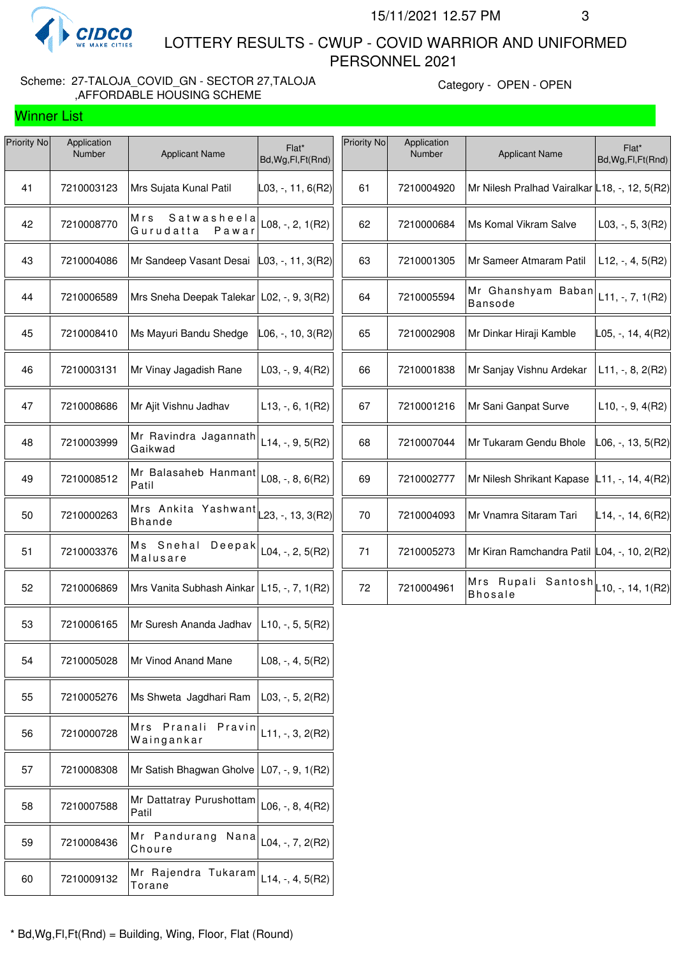

Winner List

Priority No Application

 LOTTERY RESULTS - CWUP - COVID WARRIOR AND UNIFORMED PERSONNEL 2021

#### Scheme: 27-TALOJA\_COVID\_GN - SECTOR 27,TALOJA ,AFFORDABLE HOUSING SCHEME

T

Category - OPEN - OPEN

| <b>Priority No</b> | Application<br>Number | <b>Applicant Name</b>                                         | Flat*<br>Bd, Wg, Fl, Ft(Rnd) |  |
|--------------------|-----------------------|---------------------------------------------------------------|------------------------------|--|
| 41                 | 7210003123            | Mrs Sujata Kunal Patil                                        | L03, -, 11, 6(R2)            |  |
| 42                 | 7210008770            | Mrs<br>Satwasheela<br>Gurudatta<br>Pawar                      | $L08, -2, 1(R2)$             |  |
| 43                 | 7210004086            | Mr Sandeep Vasant Desai                                       | $ L03, -, 11, 3(R2) $        |  |
| 44                 | 7210006589            | Mrs Sneha Deepak Talekar   L02, -, 9, 3(R2)                   |                              |  |
| 45                 | 7210008410            | Ms Mayuri Bandu Shedge                                        | L06, -, 10, 3(R2)            |  |
| 46                 | 7210003131            | Mr Vinay Jagadish Rane                                        | $L03, -, 9, 4(R2)$           |  |
| 47                 | 7210008686            | Mr Ajit Vishnu Jadhav                                         | $L13, -, 6, 1(R2)$           |  |
| 48                 | 7210003999            | Mr Ravindra Jagannath<br>Gaikwad                              | $L14, -, 9, 5(R2)$           |  |
| 49                 | 7210008512            | Mr Balasaheb Hanmant<br>Patil                                 | $L08, -, 8, 6(R2)$           |  |
| 50                 | 7210000263            | Mrs Ankita Yashwant $\vert$ 23, -, 13, 3(R2)<br><b>Bhande</b> |                              |  |
| 51                 | 7210003376            | Мs<br>Snehal<br>Deepak<br>Malusare                            | $L04, -, 2, 5(R2)$           |  |
| 52                 | 7210006869            | Mrs Vanita Subhash Ainkar   L15, -, 7, 1 (R2)                 |                              |  |
| 53                 | 7210006165            | Mr Suresh Ananda Jadhav                                       | $L10, -5, 5(R2)$             |  |
| 54                 | 7210005028            | Mr Vinod Anand Mane                                           | $L08, -, 4, 5(R2)$           |  |
| 55                 | 7210005276            | Ms Shweta Jagdhari Ram                                        | $L03, -5, 2(R2)$             |  |
| 56                 | 7210000728            | Mrs<br>Pranali<br>Pravin<br>Waingankar                        | $L11, -, 3, 2(R2)$           |  |
| 57                 | 7210008308            | Mr Satish Bhagwan Gholve   L07, -, 9, 1(R2)                   |                              |  |
| 58                 | 7210007588            | Mr Dattatray Purushottam<br>Patil                             | $L06, -, 8, 4(R2)$           |  |
| 59                 | 7210008436            | Pandurang<br>Мr<br>Nana<br>Choure                             | L04, -, 7, 2(R2)             |  |
| 60                 | 7210009132            | Mr Rajendra Tukaram<br>Torane                                 | $L14, -, 4, 5(R2)$           |  |
|                    |                       |                                                               |                              |  |

| Priority No | Application<br>Number | <b>Applicant Name</b>                                     | Flat*<br>Bd, Wg, Fl, Ft (Rnd) |
|-------------|-----------------------|-----------------------------------------------------------|-------------------------------|
| 61          | 7210004920            | Mr Nilesh Pralhad Vairalkar L18, -, 12, 5(R2)             |                               |
| 62          | 7210000684            | Ms Komal Vikram Salve                                     | $L03, -, 5, 3(R2)$            |
| 63          | 7210001305            | Mr Sameer Atmaram Patil                                   | $L12, -, 4, 5(R2)$            |
| 64          | 7210005594            | Mr Ghanshyam Baban<br><b>Bansode</b>                      | $L11, -7, 1(R2)$              |
| 65          | 7210002908            | Mr Dinkar Hiraji Kamble                                   | L05, -, 14, 4(R2)             |
| 66          | 7210001838            | Mr Sanjay Vishnu Ardekar                                  | $L11, -, 8, 2(R2)$            |
| 67          | 7210001216            | Mr Sani Ganpat Surve                                      | $L10, -, 9, 4(R2)$            |
| 68          | 7210007044            | Mr Tukaram Gendu Bhole                                    | $LO6, -13, 5(R2)$             |
| 69          | 7210002777            | Mr Nilesh Shrikant Kapase   L11, -, 14, 4(R2)             |                               |
| 70          | 7210004093            | Mr Vnamra Sitaram Tari                                    | $L14, -, 14, 6(R2)$           |
| 71          | 7210005273            | Mr Kiran Ramchandra Patil L04, -, 10, 2(R2)               |                               |
| 72          | 7210004961            | Mrs Rupali Santosh $L$ 10, -, 14, 1(R2)<br><b>Bhosale</b> |                               |